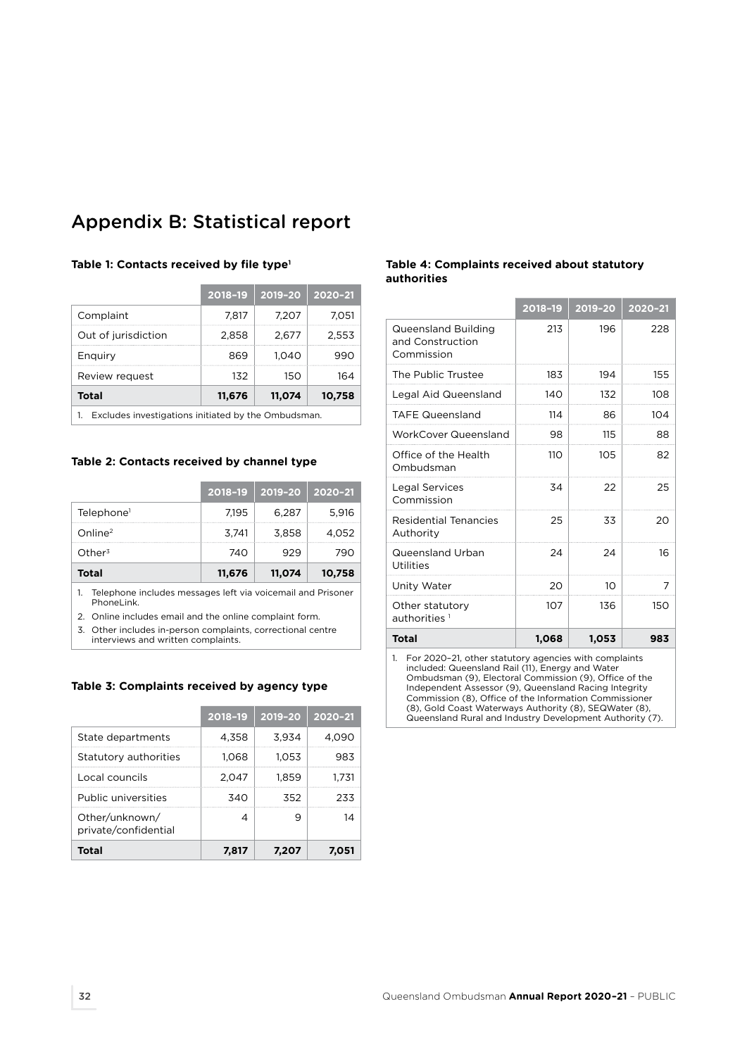# Appendix B: Statistical report

|                                                    | 2018-19 | 2019-20 | $2020 - 21$ |  |  |
|----------------------------------------------------|---------|---------|-------------|--|--|
| Complaint                                          | 7.817   | 7.207   | 7.051       |  |  |
| Out of jurisdiction                                | 2,858   | 2,677   | 2,553       |  |  |
| Enquiry                                            | 869     | 1.040   | 990         |  |  |
| Review request                                     | 132     | 150     | 164         |  |  |
| <b>Total</b>                                       | 11,676  | 11,074  | 10,758      |  |  |
| Excludes investigations initiated by the Ombudsman |         |         |             |  |  |

# **Table 1: Contacts received by file type1**

1. Excludes investigations initiated by the Ombudsman.

#### **Table 2: Contacts received by channel type**

|                        | 2018-19 | $\vert$ 2019-20 2020-21 |        |
|------------------------|---------|-------------------------|--------|
| Telephone <sup>1</sup> | 7.195   | 6.287                   | 5.916  |
| Online <sup>2</sup>    | 3.741   | 3.858                   | 4.052  |
| $O$ ther <sup>3</sup>  | 740     | 929                     | 790    |
| Total                  | 11,676  | 11,074                  | 10,758 |

1. Telephone includes messages left via voicemail and Prisoner PhoneLink.

2. Online includes email and the online complaint form.

3. Other includes in-person complaints, correctional centre interviews and written complaints.

#### **Table 3: Complaints received by agency type**

|                                        | 2018-19 | 2019-20 | $2020 - 21$ |
|----------------------------------------|---------|---------|-------------|
| State departments                      | 4,358   | 3,934   | 4.09C       |
| Statutory authorities                  | 1.068   | 1.053   | 983         |
| Local councils                         | 2.047   | 1.859   | 1.731       |
| Public universities                    | 340     | 352     | 233         |
| Other/unknown/<br>private/confidential |         | q       |             |
| <b>Total</b>                           | 7.817   | 7.207   |             |

# **Table 4: Complaints received about statutory authorities**

|                                                                                                                                                                           | 2018-19 | 2019-20 | 2020-21 |  |  |
|---------------------------------------------------------------------------------------------------------------------------------------------------------------------------|---------|---------|---------|--|--|
| <b>Queensland Building</b><br>and Construction<br>Commission                                                                                                              | 213     | 196     | 228     |  |  |
| The Public Trustee                                                                                                                                                        | 183     | 194     | 155     |  |  |
| Legal Aid Queensland                                                                                                                                                      | 140     | 132     | 108     |  |  |
| <b>TAFE Queensland</b>                                                                                                                                                    | 114     | 86      | 104     |  |  |
| <b>WorkCover Queensland</b>                                                                                                                                               | 98      | 115     | 88      |  |  |
| Office of the Health<br>Ombudsman                                                                                                                                         | 110     | 105     | 82      |  |  |
| Legal Services<br>Commission                                                                                                                                              | 34      | 22      | 25      |  |  |
| Residential Tenancies<br>Authority                                                                                                                                        | 25      | 33      | 20      |  |  |
| Queensland Urban<br>Utilities                                                                                                                                             | 24      | 24      | 16      |  |  |
| Unity Water                                                                                                                                                               | 20      | 10      | 7       |  |  |
| Other statutory<br>authorities <sup>1</sup>                                                                                                                               | 107     | 136     | 150     |  |  |
| <b>Total</b>                                                                                                                                                              | 1,068   | 1,053   | 983     |  |  |
| For 2020-21, other statutory agencies with complaints<br>1.<br>included: Queensland Rail (11), Energy and Water<br>Ombudsman (9). Electoral Commission (9). Office of the |         |         |         |  |  |

Ombudsman (9), Electoral Commission (9), Office of the Independent Assessor (9), Queensland Racing Integrity Commission (8), Office of the Information Commissioner (8), Gold Coast Waterways Authority (8), SEQWater (8), Queensland Rural and Industry Development Authority (7).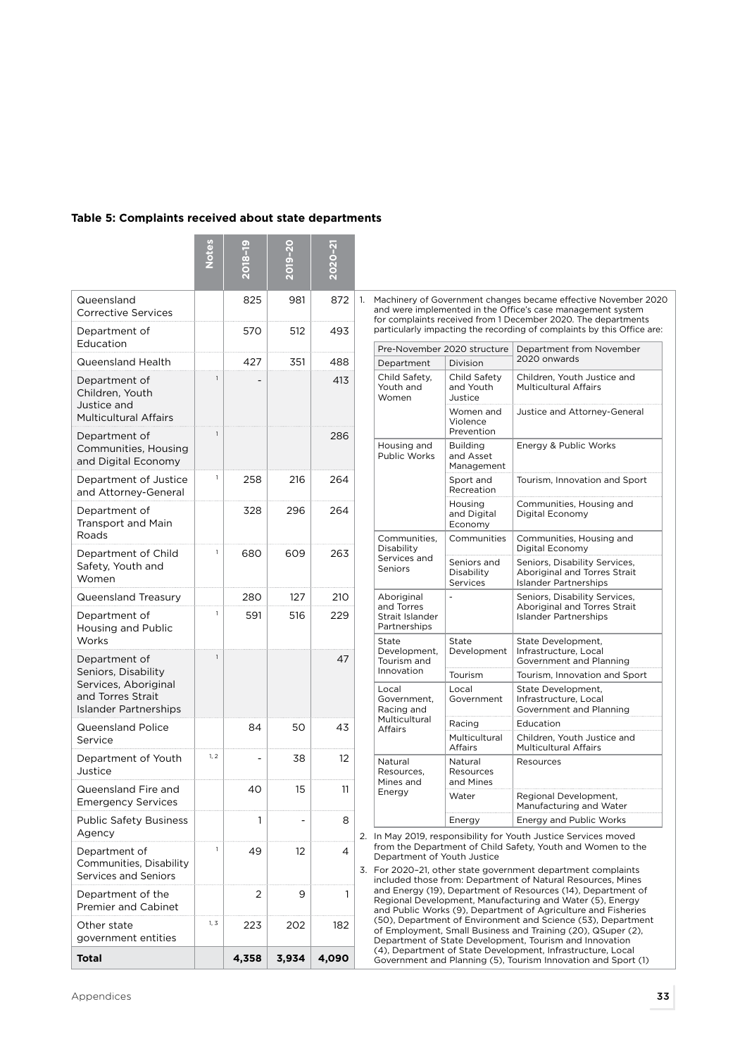| Table 5: Complaints received about state departments |  |  |  |  |  |  |  |  |
|------------------------------------------------------|--|--|--|--|--|--|--|--|
|------------------------------------------------------|--|--|--|--|--|--|--|--|

| Queensland<br><b>Corrective Services</b>                                                                          |      | 825   | 981   | 872   |
|-------------------------------------------------------------------------------------------------------------------|------|-------|-------|-------|
| Department of<br>Education                                                                                        |      | 570   | 512   | 493   |
| Queensland Health                                                                                                 |      | 427   | 351   | 488   |
| Department of<br>Children, Youth<br>Justice and<br><b>Multicultural Affairs</b>                                   | 1    |       |       | 413   |
| Department of<br>Communities, Housing<br>and Digital Economy                                                      | 1    |       |       | 286   |
| Department of Justice<br>and Attorney-General                                                                     | 1    | 258   | 216   | 264   |
| Department of<br><b>Transport and Main</b><br>Roads                                                               |      | 328   | 296   | 264   |
| Department of Child<br>Safety, Youth and<br>Women                                                                 | 1    | 680   | 609   | 263   |
| Queensland Treasury                                                                                               |      | 280   | 127   | 210   |
| Department of<br>Housing and Public<br>Works                                                                      | 1    | 591   | 516   | 229   |
| Department of<br>Seniors, Disability<br>Services, Aboriginal<br>and Torres Strait<br><b>Islander Partnerships</b> | 1    |       |       | 47    |
| Queensland Police<br>Service                                                                                      |      | 84    | 50    | 43    |
| Department of Youth<br>Justice                                                                                    | 1, 2 |       | 38    | 12    |
| Queensland Fire and<br><b>Emergency Services</b>                                                                  |      | 40    | 15    | 11    |
| <b>Public Safety Business</b><br>Agency                                                                           |      | 1     |       | 8     |
| Department of<br>Communities, Disability<br>Services and Seniors                                                  | 1    | 49    | 12    | 4     |
| Department of the<br><b>Premier and Cabinet</b>                                                                   |      | 2     | 9     | 1     |
| Other state<br>government entities                                                                                | 1, 3 | 223   | 202   | 182   |
| Total                                                                                                             |      | 4,358 | 3,934 | 4,090 |

1. Machinery of Government changes became effective November 2020 and were implemented in the Office's case management system for complaints received from 1 December 2020. The departments particularly impacting the recording of complaints by this Office are:

| Pre-November 2020 structure                                 |                                            | Department from November                                                                      |  |
|-------------------------------------------------------------|--------------------------------------------|-----------------------------------------------------------------------------------------------|--|
| Department                                                  | Division                                   | 2020 onwards                                                                                  |  |
| Child Safety,<br>Youth and<br>Women                         | Child Safety<br>and Youth<br>Justice       | Children, Youth Justice and<br>Multicultural Affairs                                          |  |
|                                                             | Women and<br>Violence<br>Prevention        | Justice and Attorney-General                                                                  |  |
| Housing and<br><b>Public Works</b>                          | <b>Building</b><br>and Asset<br>Management | Energy & Public Works                                                                         |  |
|                                                             | Sport and<br>Recreation                    | Tourism, Innovation and Sport                                                                 |  |
|                                                             | Housing<br>and Digital<br>Economy          | Communities, Housing and<br>Digital Economy                                                   |  |
| Communities,<br>Disability                                  | Communities                                | Communities, Housing and<br>Digital Economy                                                   |  |
| Services and<br>Seniors                                     | Seniors and<br>Disability<br>Services      | Seniors, Disability Services,<br>Aboriginal and Torres Strait<br><b>Islander Partnerships</b> |  |
| Aboriginal<br>and Torres<br>Strait Islander<br>Partnerships |                                            | Seniors, Disability Services,<br>Aboriginal and Torres Strait<br>Islander Partnerships        |  |
| State<br>Development,<br>Tourism and                        | State<br>Development                       | State Development,<br>Infrastructure, Local<br>Government and Planning                        |  |
| Innovation                                                  | Tourism                                    | Tourism, Innovation and Sport                                                                 |  |
| Local<br>Government,<br>Racing and                          | Local<br>Government                        | State Development,<br>Infrastructure, Local<br>Government and Planning                        |  |
| Multicultural<br>Affairs                                    | Racing                                     | Education                                                                                     |  |
|                                                             | Multicultural<br><b>Affairs</b>            | Children, Youth Justice and<br>Multicultural Affairs                                          |  |
| Natural<br>Resources.<br>Mines and                          | Natural<br>Resources<br>and Mines          | Resources                                                                                     |  |
| Energy                                                      | Water                                      | Regional Development,<br>Manufacturing and Water                                              |  |
|                                                             | Energy                                     | Energy and Public Works                                                                       |  |

2. In May 2019, responsibility for Youth Justice Services moved from the Department of Child Safety, Youth and Women to the Department of Youth Justice

3. For 2020–21, other state government department complaints included those from: Department of Natural Resources, Mines and Energy (19), Department of Resources (14), Department of Regional Development, Manufacturing and Water (5), Energy and Public Works (9), Department of Agriculture and Fisheries (50), Department of Environment and Science (53), Department of Employment, Small Business and Training (20), QSuper (2), Department of State Development, Tourism and Innovation (4), Department of State Development, Infrastructure, Local Government and Planning (5), Tourism Innovation and Sport (1)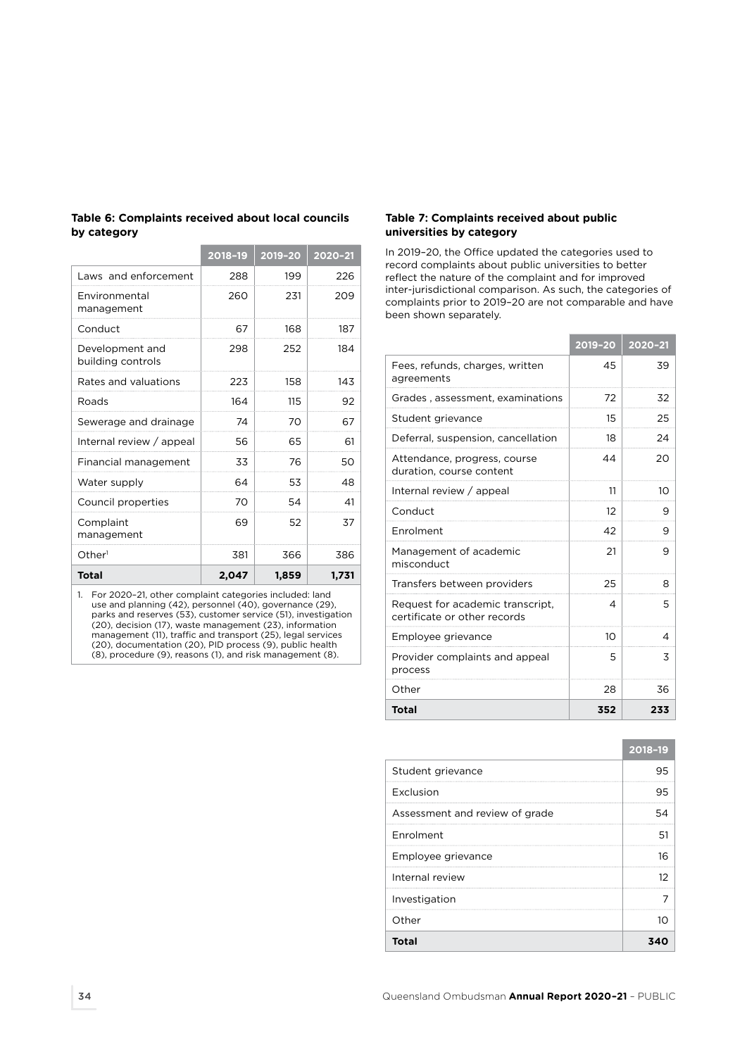|                                      | 2018-19 | 2019-20 | 2020-21 |
|--------------------------------------|---------|---------|---------|
| Laws and enforcement                 | 288     | 199     | 226     |
| Environmental<br>management          | 260     | 231     | 209     |
| Conduct                              | 67      | 168     | 187     |
| Development and<br>building controls | 298     | 252     | 184     |
| Rates and valuations                 | 223     | 158     | 143     |
| Roads                                | 164     | 115     | 92      |
| Sewerage and drainage                | 74      | 70      | 67      |
| Internal review / appeal             | 56      | 65      | 61      |
| Financial management                 | 33      | 76      | 50      |
| Water supply                         | 64      | 53      | 48      |
| Council properties                   | 70      | 54      | 41      |
| Complaint<br>management              | 69      | 52      | 37      |
| Other <sup>1</sup>                   | 381     | 366     | 386     |
| Total                                | 2,047   | 1,859   | 1,731   |

**Table 6: Complaints received about local councils by category**

the control of the control of the control of the control of the control of

1. For 2020–21, other complaint categories included: land use and planning (42), personnel (40), governance (29), parks and reserves (53), customer service (51), investigation (20), decision (17), waste management (23), information management (11), traffic and transport (25), legal services (20), documentation (20), PID process (9), public health (8), procedure (9), reasons (1), and risk management (8).

# **Table 7: Complaints received about public universities by category**

In 2019–20, the Office updated the categories used to record complaints about public universities to better reflect the nature of the complaint and for improved inter-jurisdictional comparison. As such, the categories of complaints prior to 2019–20 are not comparable and have been shown separately.

|                                                                  | $2019 - 20$ | 2020-21 |
|------------------------------------------------------------------|-------------|---------|
| Fees, refunds, charges, written<br>agreements                    | 45          | 39      |
| Grades, assessment, examinations                                 | 72          | 32      |
| Student grievance                                                | 15          | 25      |
| Deferral, suspension, cancellation                               | 18          | 24      |
| Attendance, progress, course<br>duration, course content         | 44          | 20      |
| Internal review / appeal                                         | 11          | 10      |
| Conduct                                                          | 12          | 9       |
| Enrolment                                                        | 42          | 9       |
| Management of academic<br>misconduct                             | 21          | 9       |
| Transfers between providers                                      | 25          | 8       |
| Request for academic transcript.<br>certificate or other records | 4           | 5       |
| Employee grievance                                               | 10          | 4       |
| Provider complaints and appeal<br>process                        | 5           | 3       |
| Other                                                            | 28          | 36      |
| Total                                                            | 352         | 233     |

|                                | 2018-19 |
|--------------------------------|---------|
| Student grievance              | 95      |
| Exclusion                      | 95      |
| Assessment and review of grade | 54      |
| Enrolment                      | 51      |
| Employee grievance             | 16      |
| Internal review                | 12      |
| Investigation                  |         |
| Other                          | ΊO      |
| Total                          |         |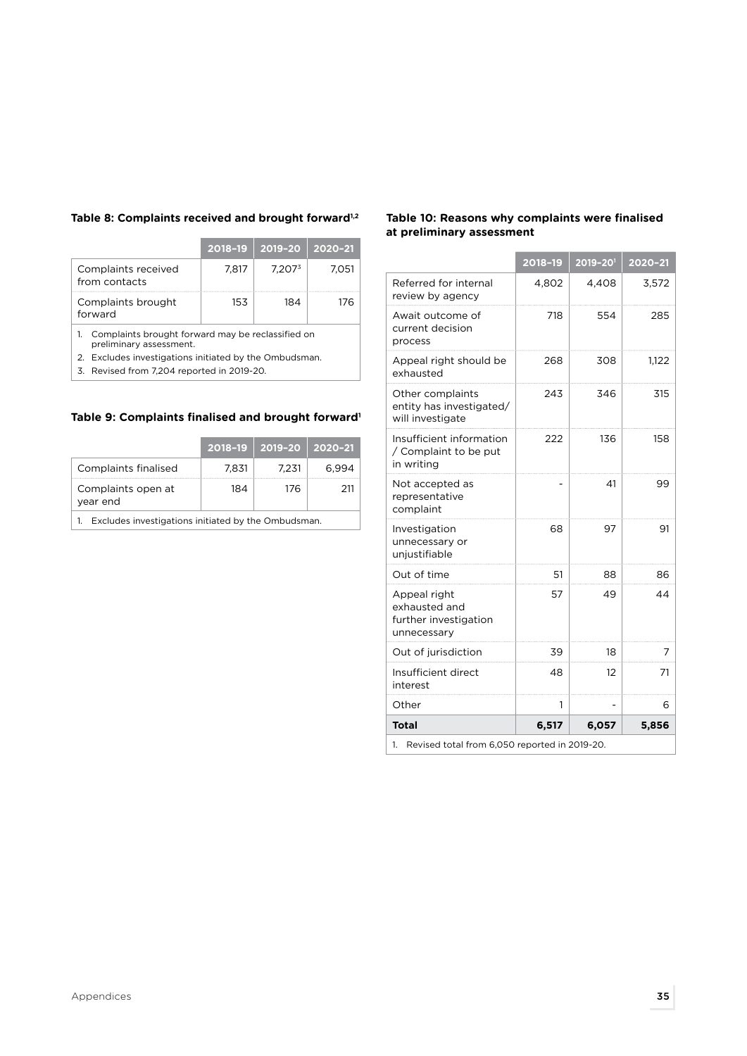# **Table 8: Complaints received and brought forward1,2**

|                                                                              | 2018-19 | 2019-20            | 2020-21 |  |  |  |
|------------------------------------------------------------------------------|---------|--------------------|---------|--|--|--|
| Complaints received<br>from contacts                                         | 7.817   | 7.207 <sup>3</sup> | 7.051   |  |  |  |
| Complaints brought<br>184<br>153<br>forward                                  |         |                    |         |  |  |  |
| Complaints brought forward may be reclassified on<br>preliminary assessment. |         |                    |         |  |  |  |
| Eveludes investigations initiated by the Ombudsman                           |         |                    |         |  |  |  |

2. Excludes investigations initiated by the Ombudsman.

3. Revised from 7,204 reported in 2019-20.

# **Table 9: Complaints finalised and brought forward1**

|                                                     |       | $2018 - 19$   2019-20 | 2020-21 |  |
|-----------------------------------------------------|-------|-----------------------|---------|--|
| Complaints finalised                                | 7.831 | 7.231                 | 6.994   |  |
| Complaints open at<br>vear end                      | 184   | 176                   | 211     |  |
| Excludes investigations initiated by the Ombudsman. |       |                       |         |  |

1. Excludes investigations initiated by the Ombudsman.

# **Table 10: Reasons why complaints were finalised at preliminary assessment**

|                                                                       | 2018-19 | 2019-201 | 2020-21 |  |
|-----------------------------------------------------------------------|---------|----------|---------|--|
| Referred for internal<br>review by agency                             | 4,802   | 4,408    | 3,572   |  |
| Await outcome of<br>current decision<br>process                       | 718     | 554      | 285     |  |
| Appeal right should be<br>exhausted                                   | 268     | 308      | 1,122   |  |
| Other complaints<br>entity has investigated/<br>will investigate      | 243     | 346      | 315     |  |
| Insufficient information<br>/ Complaint to be put<br>in writing       | 222     | 136      | 158     |  |
| Not accepted as<br>representative<br>complaint                        |         | 41       | 99      |  |
| Investigation<br>unnecessary or<br>unjustifiable                      | 68      | 97       | 91      |  |
| Out of time                                                           | 51      | 88       | 86      |  |
| Appeal right<br>exhausted and<br>further investigation<br>unnecessary | 57      | 49       | 44      |  |
| Out of jurisdiction                                                   | 39      | 18       | 7       |  |
| Insufficient direct<br>interest                                       | 48      | 12       | 71      |  |
| Other                                                                 | 1       |          | 6       |  |
| <b>Total</b>                                                          | 6,517   | 6,057    | 5,856   |  |
| Revised total from 6,050 reported in 2019-20.<br>1.                   |         |          |         |  |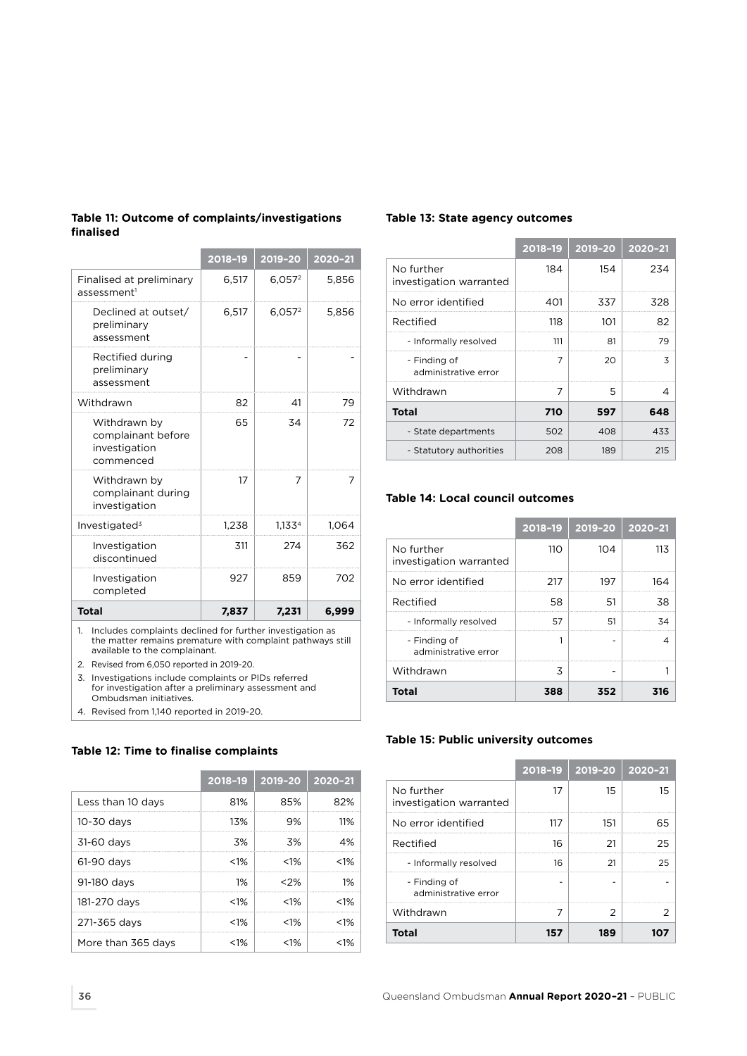|                                                                  | 2018-19 | 2019-20   | 2020-21 |
|------------------------------------------------------------------|---------|-----------|---------|
| Finalised at preliminary<br>assessment <sup>1</sup>              | 6,517   | $6,057^2$ | 5,856   |
| Declined at outset/<br>preliminary<br>assessment                 | 6,517   | $6,057^2$ | 5,856   |
| Rectified during<br>preliminary<br>assessment                    |         |           |         |
| Withdrawn                                                        | 82      | 41        | 79      |
| Withdrawn by<br>complainant before<br>investigation<br>commenced | 65      | 34        | 72      |
| Withdrawn by<br>complainant during<br>investigation              | 17      | 7         | 7       |
| Investigated $3$                                                 | 1,238   | 1,1334    | 1,064   |
| Investigation<br>discontinued                                    | 311     | 274       | 362     |
| Investigation<br>completed                                       | 927     | 859       | 702     |
| <b>Total</b>                                                     | 7,837   | 7,231     | 6,999   |

**Table 11: Outcome of complaints/investigations finalised**

1. Includes complaints declined for further investigation as the matter remains premature with complaint pathways still available to the complainant.

2. Revised from 6,050 reported in 2019-20.

3. Investigations include complaints or PIDs referred for investigation after a preliminary assessment and Ombudsman initiatives.

4. Revised from 1,140 reported in 2019-20.

# **Table 12: Time to finalise complaints**

|                    | 2018-19 | 2019-20 | 2020-21 |
|--------------------|---------|---------|---------|
| Less than 10 days  | 81%     | 85%     | 82%     |
| $10-30$ days       | 13%     | 9%      | 11%     |
| 31-60 days         | 3%      | .3%     | 4%      |
| 61-90 days         | $< 1\%$ | $< 1\%$ | $< 1\%$ |
| 91-180 days        | 1%      | $< 2\%$ | 1%      |
| 181-270 days       | $< 1\%$ | $< 1\%$ | $< 1\%$ |
| 271-365 days       | $< 1\%$ | $< 1\%$ | $< 1\%$ |
| More than 365 days | $< 1\%$ | $< 1\%$ | $< 1\%$ |

# **Table 13: State agency outcomes**

|                                       | 2018-19 | 2019-20 | 2020-21 |
|---------------------------------------|---------|---------|---------|
| No further<br>investigation warranted | 184     | 154     | 234     |
| No error identified                   | 401     | 337     | 328     |
| Rectified                             | 118     | 101     | 82      |
| - Informally resolved                 | 111     | 81      | 79      |
| - Finding of<br>administrative error  | 7       | 20      | 3       |
| Withdrawn                             | 7       | 5       | 4       |
| <b>Total</b>                          | 710     | 597     | 648     |
| - State departments                   | 502     | 408     | 433     |
| - Statutory authorities               | 208     | 189     | 215     |

#### **Table 14: Local council outcomes**

|                                       | 2018-19         | 2019-20 | 2020-21 |
|---------------------------------------|-----------------|---------|---------|
| No further<br>investigation warranted | 11 <sub>O</sub> | 104     | 11.3    |
| No error identified                   | 217             | 197     | 164     |
| Rectified                             | 58              | 51      | 38      |
| - Informally resolved                 | 57              | 51      |         |
| - Finding of<br>administrative error  |                 |         |         |
| Withdrawn                             | 3               |         |         |
| <b>Total</b>                          | 388             | 352     | 316     |

#### **Table 15: Public university outcomes**

|                                       | 2018-19 | 2019-20   2020-21 |    |
|---------------------------------------|---------|-------------------|----|
| No further<br>investigation warranted | 17      | 15                | 15 |
| No error identified                   | 117     | 151               | 65 |
| Rectified                             | 16      | 21                | 25 |
| - Informally resolved                 | 16      | 21                | 25 |
| - Finding of<br>administrative error  |         |                   |    |
| Withdrawn                             |         | 2                 |    |
| Total                                 | 157     | 189               |    |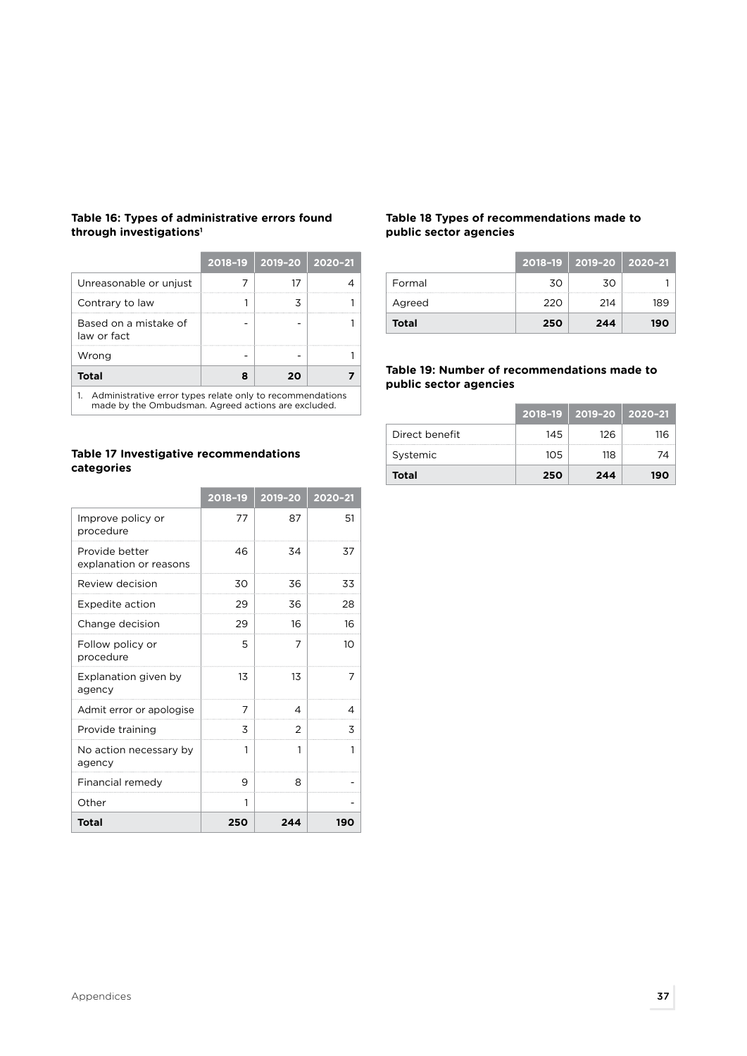|                                                                                                                     |   | 2018-19 2019-20 2020-21 |  |  |
|---------------------------------------------------------------------------------------------------------------------|---|-------------------------|--|--|
| Unreasonable or unjust                                                                                              |   |                         |  |  |
| Contrary to law                                                                                                     |   |                         |  |  |
| Based on a mistake of<br>law or fact                                                                                |   |                         |  |  |
| Wrong                                                                                                               |   |                         |  |  |
| <b>Total</b>                                                                                                        | я | 20                      |  |  |
| 1. Administrative error types relate only to recommendations<br>made by the Ombudsman. Agreed actions are excluded. |   |                         |  |  |

# **Table 16: Types of administrative errors found through investigations1**

made by the Ombudsman. Agreed actions are excluded.

# **Table 17 Investigative recommendations categories**

|                                          | 2018-19 | 2019-20 | 2020-21 |
|------------------------------------------|---------|---------|---------|
| Improve policy or<br>procedure           | 77      | 87      | 51      |
| Provide better<br>explanation or reasons | 46      | 34      | 37      |
| Review decision                          | 30      | 36      | 33      |
| Expedite action                          | 29      | 36      | 28      |
| Change decision                          | 29      | 16      | 16      |
| Follow policy or<br>procedure            | 5       | 7       | 10      |
| Explanation given by<br>agency           | 13      | 13      | 7       |
| Admit error or apologise                 | 7       | 4       | 4       |
| Provide training                         | 3       | 2       | 3       |
| No action necessary by<br>agency         | 1       | 1       | 1       |
| Financial remedy                         | 9       | 8       |         |
| Other                                    | 1       |         |         |
| Total                                    | 250     | 244     | 190     |

# **Table 18 Types of recommendations made to public sector agencies**

|        |     | 2018-19 2019-20 2020-21 |     |
|--------|-----|-------------------------|-----|
| Formal | 30  | 30                      |     |
| Agreed | 220 | 214                     | 189 |
| Total  | 250 | 244                     | 190 |

# **Table 19: Number of recommendations made to public sector agencies**

|                |      | 2018–19   2019–20   2020–21 |     |
|----------------|------|-----------------------------|-----|
| Direct benefit | 145  | 126                         | 116 |
| Systemic       | 10.5 | 118                         |     |
| <b>Total</b>   | 250  | 244                         | 190 |